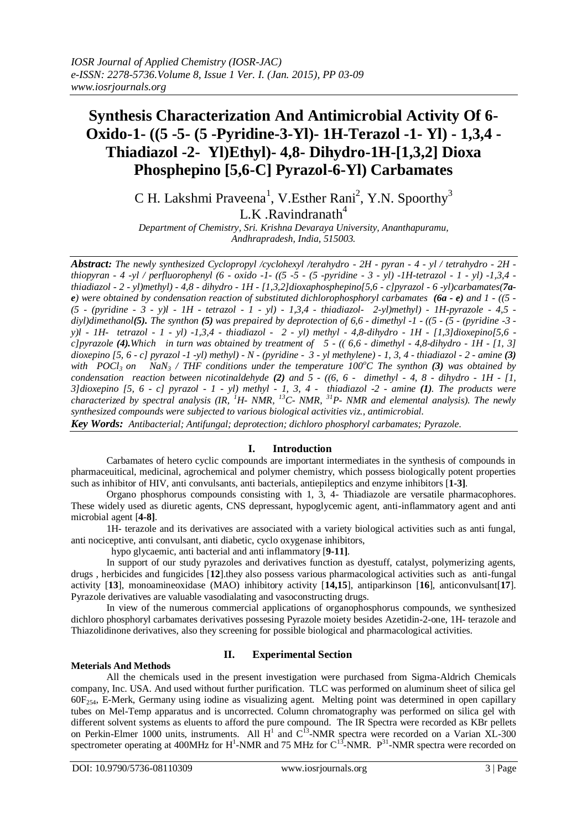# **Synthesis Characterization And Antimicrobial Activity Of 6- Oxido-1- ((5 -5- (5 -Pyridine-3-Yl)- 1H-Terazol -1- Yl) - 1,3,4 - Thiadiazol -2- Yl)Ethyl)- 4,8- Dihydro-1H-[1,3,2] Dioxa Phosphepino [5,6-C] Pyrazol-6-Yl) Carbamates**

C H. Lakshmi Praveena<sup>1</sup>, V. Esther Rani<sup>2</sup>, Y.N. Spoorthy<sup>3</sup> L.K .Ravindranath $4$ 

*Department of Chemistry, Sri. Krishna Devaraya University, Ananthapuramu, Andhrapradesh, India, 515003.*

*Abstract: The newly synthesized Cyclopropyl /cyclohexyl /terahydro - 2H - pyran - 4 - yl / tetrahydro - 2H thiopyran - 4 -yl / perfluorophenyl (6 - oxido -1- ((5 -5 - (5 -pyridine - 3 - yl) -1H-tetrazol - 1 - yl) -1,3,4 thiadiazol - 2 - yl)methyl) - 4,8 - dihydro - 1H - [1,3,2]dioxaphosphepino[5,6 - c]pyrazol - 6 -yl)carbamates(7ae) were obtained by condensation reaction of substituted dichlorophosphoryl carbamates (6a - e) and 1 - ((5 - (5 - (pyridine - 3 - y)l - 1H - tetrazol - 1 - yl) - 1,3,4 - thiadiazol- 2-yl)methyl) - 1H-pyrazole - 4,5 diyl)dimethanol(5). The synthon (5) was prepaired by deprotection of 6,6 - dimethyl -1 - ((5 - (5 - (pyridine -3 y)l - 1H- tetrazol - 1 - yl) -1,3,4 - thiadiazol - 2 - yl) methyl - 4,8-dihydro - 1H - [1,3]dioxepino[5,6 c]pyrazole (4).Which in turn was obtained by treatment of 5 - (( 6,6 - dimethyl - 4,8-dihydro - 1H - [1, 3] dioxepino [5, 6 - c] pyrazol -1 -yl) methyl) - N - (pyridine - 3 - yl methylene) - 1, 3, 4 - thiadiazol - 2 - amine (3) with POCl<sub>3</sub> on NaN<sub>3</sub></sub> / THF conditions under the temperature*  $100^{\circ}$ *C The synthon (3) was obtained by condensation reaction between nicotinaldehyde (2) and 5 - ((6, 6 - dimethyl - 4, 8 - dihydro - 1H - [1, 3]dioxepino [5, 6 - c] pyrazol - 1 - yl) methyl - 1, 3, 4 - thiadiazol -2 - amine (1). The products were characterized by spectral analysis (IR, <sup>1</sup>H- NMR, <sup>13</sup>C- NMR, <sup>31</sup>P- NMR and elemental analysis). The newly synthesized compounds were subjected to various biological activities viz., antimicrobial.*

*Key Words: Antibacterial; Antifungal; deprotection; dichloro phosphoryl carbamates; Pyrazole*.

## **I. Introduction**

Carbamates of hetero cyclic compounds are important intermediates in the synthesis of compounds in pharmaceuitical, medicinal, agrochemical and polymer chemistry, which possess biologically potent properties such as inhibitor of HIV, anti convulsants, anti bacterials, antiepileptics and enzyme inhibitors [**1-3]**.

Organo phosphorus compounds consisting with 1, 3, 4- Thiadiazole are versatile pharmacophores. These widely used as diuretic agents, CNS depressant, hypoglycemic agent, anti-inflammatory agent and anti microbial agent [**4-8]**.

1H- terazole and its derivatives are associated with a variety biological activities such as anti fungal, anti nociceptive, anti convulsant, anti diabetic, cyclo oxygenase inhibitors,

hypo glycaemic, anti bacterial and anti inflammatory [**9-11]**.

In support of our study pyrazoles and derivatives function as dyestuff, catalyst, polymerizing agents, drugs , herbicides and fungicides [**12**].they also possess various pharmacological activities such as anti-fungal activity [**13**], monoamineoxidase (MAO) inhibitory activity [**14,15**], antiparkinson [**16**], anticonvulsant[**17**]. Pyrazole derivatives are valuable vasodialating and vasoconstructing drugs.

In view of the numerous commercial applications of organophosphorus compounds, we synthesized dichloro phosphoryl carbamates derivatives possesing Pyrazole moiety besides Azetidin-2-one, 1H- terazole and Thiazolidinone derivatives, also they screening for possible biological and pharmacological activities.

## **Meterials And Methods**

# **II. Experimental Section**

All the chemicals used in the present investigation were purchased from Sigma-Aldrich Chemicals company, Inc. USA. And used without further purification. TLC was performed on aluminum sheet of silica gel 60F254, E-Merk, Germany using iodine as visualizing agent. Melting point was determined in open capillary tubes on Mel-Temp apparatus and is uncorrected. Column chromatography was performed on silica gel with different solvent systems as eluents to afford the pure compound. The IR Spectra were recorded as KBr pellets on Perkin-Elmer 1000 units, instruments. All  $\hat{H}^1$  and  $C^{13}$ -NMR spectra were recorded on a Varian XL-300 spectrometer operating at 400MHz for H<sup>1</sup>-NMR and 75 MHz for  $C^{13}$ -NMR.  $P^{31}$ -NMR spectra were recorded on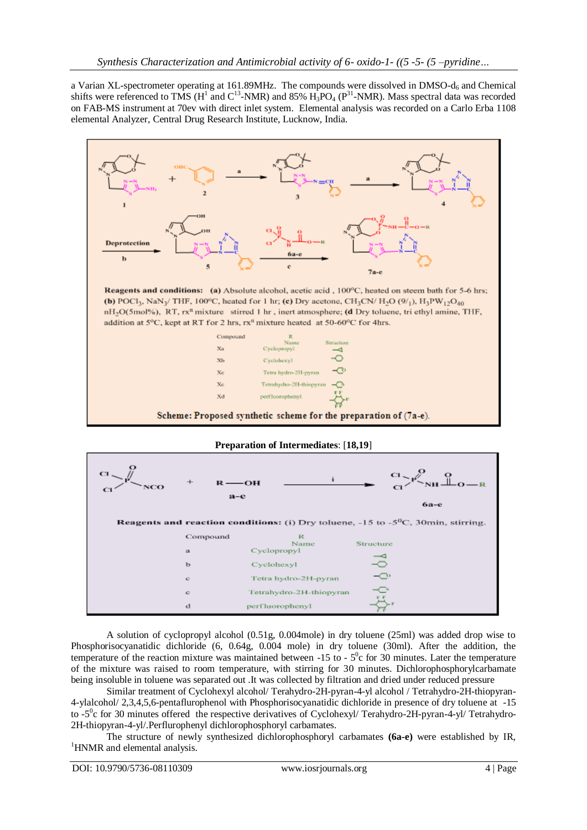a Varian XL-spectrometer operating at 161.89MHz. The compounds were dissolved in DMSO-d<sub>6</sub> and Chemical shifts were referenced to TMS ( $H^1$  and  $C^{13}$ -NMR) and 85%  $H_3PO_4$  ( $P^{31}$ -NMR). Mass spectral data was recorded on FAB-MS instrument at 70ev with direct inlet system. Elemental analysis was recorded on a Carlo Erba 1108 elemental Analyzer, Central Drug Research Institute, Lucknow, India.



# **Preparation of Intermediates**: [**18,19**] 6а-е **Reagents and reaction conditions:** (i) Dry toluene, -15 to -5<sup>0</sup>C, 30min, stirring. Compound  $\mathbb{R}$ Name Structure Cyclopropyl Cyclohexyl Tetra hydro-2H-pyran Tetrahydro-2H-thiopyran  $\epsilon$ d perfluorophenyl

A solution of cyclopropyl alcohol (0.51g, 0.004mole) in dry toluene (25ml) was added drop wise to Phosphorisocyanatidic dichloride (6, 0.64g, 0.004 mole) in dry toluene (30ml). After the addition, the temperature of the reaction mixture was maintained between  $-15$  to  $-5^{\circ}$ c for 30 minutes. Later the temperature of the mixture was raised to room temperature, with stirring for 30 minutes. Dichlorophosphorylcarbamate being insoluble in toluene was separated out .It was collected by filtration and dried under reduced pressure

Similar treatment of Cyclohexyl alcohol/ Terahydro-2H-pyran-4-yl alcohol / Tetrahydro-2H-thiopyran-4-ylalcohol/ 2,3,4,5,6-pentaflurophenol with Phosphorisocyanatidic dichloride in presence of dry toluene at -15 to -5<sup>0</sup>c for 30 minutes offered the respective derivatives of Cyclohexyl/ Terahydro-2H-pyran-4-yl/ Tetrahydro-2H-thiopyran-4-yl/.Perflurophenyl dichlorophosphoryl carbamates.

The structure of newly synthesized dichlorophosphoryl carbamates **(6a-e)** were established by IR, <sup>1</sup>HNMR and elemental analysis.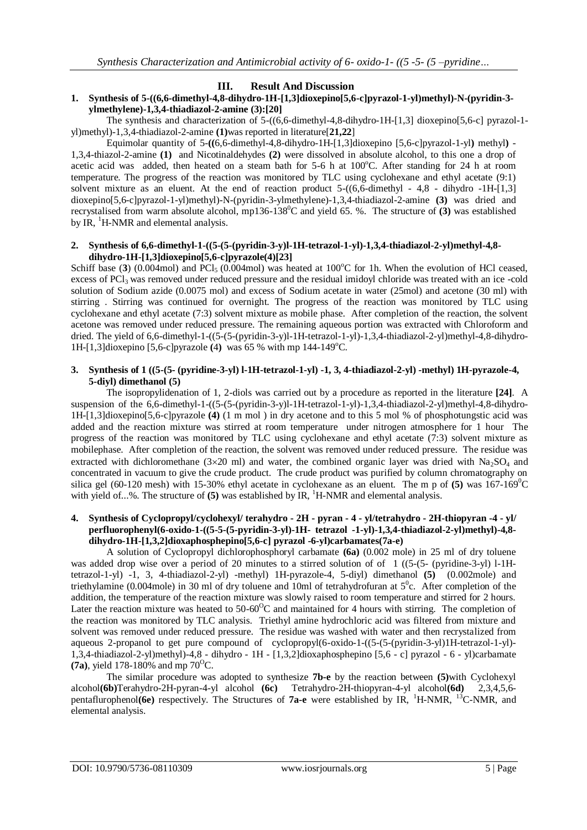## **III. Result And Discussion**

# **1. Synthesis of 5-((6,6-dimethyl-4,8-dihydro-1H-[1,3]dioxepino[5,6-c]pyrazol-1-yl)methyl)-N-(pyridin-3 ylmethylene)-1,3,4-thiadiazol-2-amine (3):[20]**

The synthesis and characterization of 5-((6,6-dimethyl-4,8-dihydro-1H-[1,3] dioxepino[5,6-c] pyrazol-1 yl)methyl)-1,3,4-thiadiazol-2-amine **(1)**was reported in literature[**21,22**]

Equimolar quantity of 5-**((**6,6-dimethyl-4,8-dihydro-1H-[1,3]dioxepino [5,6-c]pyrazol-1-yl**)** methyl**)** - 1,3,4-thiazol-2-amine **(1)** and Nicotinaldehydes **(2)** were dissolved in absolute alcohol, to this one a drop of acetic acid was added, then heated on a steam bath for  $5-6$  h at  $100^{\circ}$ C. After standing for 24 h at room temperature. The progress of the reaction was monitored by TLC using cyclohexane and ethyl acetate (9:1) solvent mixture as an eluent. At the end of reaction product  $5-(6,6-dimethyl - 4,8 - dihydro -1H-[1,3])$ dioxepino[5,6-c]pyrazol-1-yl)methyl)-N-(pyridin-3-ylmethylene)-1,3,4-thiadiazol-2-amine **(3)** was dried and recrystalised from warm absolute alcohol, mp136-138<sup>0</sup>C and yield 65. %. The structure of (3) was established by IR,  ${}^{1}$ H-NMR and elemental analysis.

#### **2. Synthesis of 6,6-dimethyl-1-((5-(5-(pyridin-3-y)l-1H-tetrazol-1-yl)-1,3,4-thiadiazol-2-yl)methyl-4,8 dihydro-1H-[1,3]dioxepino[5,6-c]pyrazole(4)[23]**

Schiff base (3) (0.004mol) and PCl<sub>5</sub> (0.004mol) was heated at  $100^{\circ}$ C for 1h. When the evolution of HCl ceased, excess of PCI<sub>3</sub> was removed under reduced pressure and the residual imidovl chloride was treated with an ice -cold solution of Sodium azide (0.0075 mol) and excess of Sodium acetate in water (25mol) and acetone (30 ml) with stirring . Stirring was continued for overnight. The progress of the reaction was monitored by TLC using cyclohexane and ethyl acetate (7:3) solvent mixture as mobile phase. After completion of the reaction, the solvent acetone was removed under reduced pressure. The remaining aqueous portion was extracted with Chloroform and dried. The yield of 6,6-dimethyl-1-((5-(5-(pyridin-3-y)l-1H-tetrazol-1-yl)-1,3,4-thiadiazol-2-yl)methyl-4,8-dihydro-1H-[1,3]dioxepino [5,6-c]pyrazole (4) was 65 % with mp 144-149 °C.

#### **3. Synthesis of 1 ((5-(5- (pyridine-3-yl) l-1H-tetrazol-1-yl) -1, 3, 4-thiadiazol-2-yl) -methyl) 1H-pyrazole-4, 5-diyl) dimethanol (5)**

The isopropylidenation of 1, 2-diols was carried out by a procedure as reported in the literature **[24]**. A suspension of the 6,6-dimethyl-1-((5-(5-(pyridin-3-y)l-1H-tetrazol-1-yl)-1,3,4-thiadiazol-2-yl)methyl-4,8-dihydro-1H-[1,3]dioxepino[5,6-c]pyrazole **(4)** (1 m mol ) in dry acetone and to this 5 mol % of phosphotungstic acid was added and the reaction mixture was stirred at room temperature under nitrogen atmosphere for 1 hour The progress of the reaction was monitored by TLC using cyclohexane and ethyl acetate (7:3) solvent mixture as mobilephase. After completion of the reaction, the solvent was removed under reduced pressure. The residue was extracted with dichloromethane ( $3\times20$  ml) and water, the combined organic layer was dried with Na<sub>2</sub>SO<sub>4</sub> and concentrated in vacuum to give the crude product. The crude product was purified by column chromatography on silica gel (60-120 mesh) with 15-30% ethyl acetate in cyclohexane as an eluent. The m p of  $(5)$  was 167-169<sup>0</sup>C with yield of...%. The structure of (5) was established by IR, <sup>1</sup>H-NMR and elemental analysis.

## **4. Synthesis of Cyclopropyl/cyclohexyl/ terahydro - 2H - pyran - 4 - yl/tetrahydro - 2H-thiopyran -4 - yl/ perfluorophenyl(6-oxido-1-((5-5-(5-pyridin-3-yl)-1H- tetrazol -1-yl)-1,3,4-thiadiazol-2-yl)methyl)-4,8 dihydro-1H-[1,3,2]dioxaphosphepino[5,6-c] pyrazol -6-yl)carbamates(7a-e)**

A solution of Cyclopropyl dichlorophosphoryl carbamate **(6a)** (0.002 mole) in 25 ml of dry toluene was added drop wise over a period of 20 minutes to a stirred solution of of 1 ((5-(5- (pyridine-3-yl) l-1Htetrazol-1-yl) -1, 3, 4-thiadiazol-2-yl) -methyl) 1H-pyrazole-4, 5-diyl) dimethanol **(5)** (0.002mole) and triethylamine (0.004mole) in 30 ml of dry toluene and 10ml of tetrahydrofuran at  $5^\circ$ c. After completion of the addition, the temperature of the reaction mixture was slowly raised to room temperature and stirred for 2 hours. Later the reaction mixture was heated to  $50{\text{-}}60^{\circ}\text{C}$  and maintained for 4 hours with stirring. The completion of the reaction was monitored by TLC analysis. Triethyl amine hydrochloric acid was filtered from mixture and solvent was removed under reduced pressure. The residue was washed with water and then recrystalized from aqueous 2-propanol to get pure compound of cyclopropyl(6-oxido-1-((5-(5-(pyridin-3-yl)1H-tetrazol-1-yl)- 1,3,4-thiadiazol-2-yl)methyl)-4,8 - dihydro - 1H - [1,3,2]dioxaphosphepino [5,6 - c] pyrazol - 6 - yl)carbamate **(7a)**, yield 178-180% and mp  $70^{\circ}$ C.

The similar procedure was adopted to synthesize **7b-e** by the reaction between **(5)**with Cyclohexyl alcohol**(6b)**Terahydro-2H-pyran-4-yl alcohol **(6c)** Tetrahydro-2H-thiopyran-4-yl alcohol**(6d)** 2,3,4,5,6 pentaflurophenol**(6e)** respectively. The Structures of **7a-e** were established by IR, <sup>1</sup>H-NMR, <sup>13</sup>C-NMR, and elemental analysis.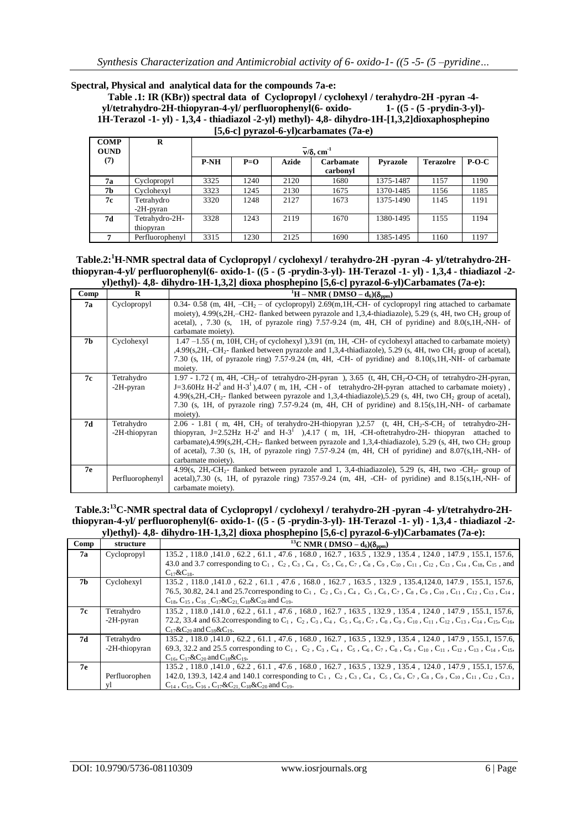**Spectral, Physical and analytical data for the compounds 7a-e:**

**Table .1: IR (KBr)) spectral data of Cyclopropyl / cyclohexyl / terahydro-2H -pyran -4 yl/tetrahydro-2H-thiopyran-4-yl/ perfluorophenyl(6- oxido- 1- ((5 - (5 -prydin-3-yl)- 1H-Terazol -1- yl) - 1,3,4 - thiadiazol -2-yl) methyl)- 4,8- dihydro-1H-[1,3,2]dioxaphosphepino [5,6-c] pyrazol-6-yl)carbamates (7a-e)**

| <b>COMP</b><br><b>OUND</b> | R                           | $\overline{v}/\delta$ , cm <sup>-1</sup> |       |       |                              |                 |                  |         |
|----------------------------|-----------------------------|------------------------------------------|-------|-------|------------------------------|-----------------|------------------|---------|
| (7)                        |                             | P-NH                                     | $P=O$ | Azide | <b>Carbamate</b><br>carbonyl | <b>Pyrazole</b> | <b>Terazolre</b> | $P-O-C$ |
| 7а                         | Cyclopropyl                 | 3325                                     | 1240  | 2120  | 1680                         | 1375-1487       | 1157             | 1190    |
| 7b                         | Cyclohexyl                  | 3323                                     | 1245  | 2130  | 1675                         | 1370-1485       | 1156             | 1185    |
| 7с                         | Tetrahydro<br>$-2H$ -pyran  | 3320                                     | 1248  | 2127  | 1673                         | 1375-1490       | 1145             | 1191    |
| 7d                         | Tetrahydro-2H-<br>thiopyran | 3328                                     | 1243  | 2119  | 1670                         | 1380-1495       | 1155             | 1194    |
| 7                          | Perfluorophenyl             | 3315                                     | 1230  | 2125  | 1690                         | 1385-1495       | 1160             | 1197    |

#### **Table.2:<sup>1</sup>H-NMR spectral data of Cyclopropyl / cyclohexyl / terahydro-2H -pyran -4- yl/tetrahydro-2Hthiopyran-4-yl/ perfluorophenyl(6- oxido-1- ((5 - (5 -prydin-3-yl)- 1H-Terazol -1- yl) - 1,3,4 - thiadiazol -2 yl)ethyl)- 4,8- dihydro-1H-1,3,2] dioxa phosphepino [5,6-c] pyrazol-6-yl)Carbamates (7a-e):**

| Comp | R                           | ${}^{1}H - NMR$ (DMSO – $d_6$ )( $\delta_{\text{ppm}}$ )                                                                                                                                                                                                                                                                                                                                                                                                                                                                      |
|------|-----------------------------|-------------------------------------------------------------------------------------------------------------------------------------------------------------------------------------------------------------------------------------------------------------------------------------------------------------------------------------------------------------------------------------------------------------------------------------------------------------------------------------------------------------------------------|
| 7а   | Cyclopropyl                 | 0.34- 0.58 (m, 4H, $-CH_2$ – of cyclopropyl) 2.69(m, 1H, -CH- of cyclopropyl ring attached to carbamate<br>moiety), 4.99(s, 2H, -CH2- flanked between pyrazole and 1,3,4-thiadiazole), 5.29 (s, 4H, two CH <sub>2</sub> group of<br>acetal), $\pi$ , 7.30 (s, 1H, of pyrazole ring) 7.57-9.24 (m, 4H, CH of pyridine) and 8.0(s, 1H, -NH- of<br>carbamate moiety).                                                                                                                                                            |
| 7Ь   | Cyclohexyl                  | $1.47 - 1.55$ (m, 10H, CH <sub>2</sub> of cyclohexyl), 3.91 (m, 1H, -CH- of cyclohexyl attached to carbamate moiety)<br>$4.99(s, 2H, -CH_2$ - flanked between pyrazole and 1,3,4-thiadiazole), 5.29 (s, 4H, two CH <sub>2</sub> group of acetal),<br>7.30 (s, 1H, of pyrazole ring) 7.57-9.24 (m, 4H, -CH- of pyridine) and $8.10(s, 1H, -NH -$ of carbamate<br>moiety.                                                                                                                                                       |
| 7с   | Tetrahydro<br>-2H-pyran     | 1.97 - 1.72 (m, 4H, -CH <sub>2</sub> - of tetrahydro-2H-pyran), 3.65 (t, 4H, CH <sub>2</sub> -O-CH <sub>2</sub> of tetrahydro-2H-pyran,<br>J=3.60Hz H-2 <sup>1</sup> and H-3 <sup>1</sup> ),4.07 (m, 1H, -CH - of tetrahydro-2H-pyran attached to carbamate moiety),<br>$4.99(s, 2H, -CH_2)$ -flanked between pyrazole and 1,3,4-thiadiazole),5.29 (s, 4H, two CH <sub>2</sub> group of acetal),<br>7.30 (s, 1H, of pyrazole ring) 7.57-9.24 (m, 4H, CH of pyridine) and $8.15(s, 1H, -NH - of$ carbamate<br>moiety).         |
| 7d   | Tetrahydro<br>-2H-thiopyran | 2.06 - 1.81 (m, 4H, CH <sub>2</sub> of terahydro-2H-thiopyran), 2.57 (t, 4H, CH <sub>2</sub> -S-CH <sub>2</sub> of tetrahydro-2H-<br>thiopyran, J=2.52Hz H-2 <sup>1</sup> and H-3 <sup>1</sup> ),4.17 (m, 1H, -CH-oftetrahydro-2H- thiopyran<br>attached to<br>carbamate), 4.99(s, 2H, -CH <sub>2</sub> flanked between pyrazole and 1,3,4-thiadiazole), 5.29 (s, 4H, two CH <sub>2</sub> group<br>of acetal), 7.30 (s, 1H, of pyrazole ring) 7.57-9.24 (m, 4H, CH of pyridine) and 8.07(s, 1H, -NH- of<br>carbamate moiety). |
| 7e   | Perfluorophenyl             | 4.99(s, 2H,-CH <sub>2</sub> - flanked between pyrazole and 1, 3,4-thiadiazole), 5.29 (s, 4H, two -CH <sub>2</sub> - group of<br>acetal),7.30 (s, 1H, of pyrazole ring) 7357-9.24 (m, 4H, -CH- of pyridine) and $8.15(s, 1H, -NH - of)$<br>carbamate moiety).                                                                                                                                                                                                                                                                  |

**Table.3:<sup>13</sup>C-NMR spectral data of Cyclopropyl / cyclohexyl / terahydro-2H -pyran -4- yl/tetrahydro-2Hthiopyran-4-yl/ perfluorophenyl(6- oxido-1- ((5 - (5 -prydin-3-yl)- 1H-Terazol -1- yl) - 1,3,4 - thiadiazol -2 yl)ethyl)- 4,8- dihydro-1H-1,3,2] dioxa phosphepino [5,6-c] pyrazol-6-yl)Carbamates (7a-e):**

| Comp | structure     | <sup>13</sup> C NMR (DMSO – $d_6$ )( $\delta_{ppm}$ )                                                                                                                                                                                                                                                                    |
|------|---------------|--------------------------------------------------------------------------------------------------------------------------------------------------------------------------------------------------------------------------------------------------------------------------------------------------------------------------|
|      |               |                                                                                                                                                                                                                                                                                                                          |
| 7а   | Cyclopropyl   | 135.2, 118.0, 141.0, 62.2, 61.1, 47.6, 168.0, 162.7, 163.5, 132.9, 135.4, 124.0, 147.9, 155.1, 157.6,                                                                                                                                                                                                                    |
|      |               | 43.0 and 3.7 corresponding to C <sub>1</sub> , C <sub>2</sub> , C <sub>3</sub> , C <sub>4</sub> , C <sub>5</sub> , C <sub>6</sub> , C <sub>7</sub> , C <sub>8</sub> , C <sub>9</sub> , C <sub>10</sub> , C <sub>11</sub> , C <sub>12</sub> , C <sub>13</sub> , C <sub>14</sub> , C <sub>18</sub> , C <sub>15</sub> , and |
|      |               | $C_{17}$ & $C_{18}$ .                                                                                                                                                                                                                                                                                                    |
| 7b   | Cyclohexyl    | 135.2, 118.0, 141.0, 62.2, 61.1, 47.6, 168.0, 162.7, 163.5, 132.9, 135.4, 124.0, 147.9, 155.1, 157.6,                                                                                                                                                                                                                    |
|      |               | 76.5, 30.82, 24.1 and 25.7 corresponding to $C_1$ , $C_2$ , $C_3$ , $C_4$ , $C_5$ , $C_6$ , $C_7$ , $C_8$ , $C_9$ , $C_{10}$ , $C_{11}$ , $C_{12}$ , $C_{13}$ , $C_{14}$ ,                                                                                                                                               |
|      |               | $C_{18}$ , $C_{15}$ , $C_{16}$ , $C_{17}$ & $C_{21}$ , $C_{18}$ & $C_{20}$ and $C_{19}$ .                                                                                                                                                                                                                                |
| 7с   | Tetrahydro    | 135.2, 118.0, 141.0, 62.2, 61.1, 47.6, 168.0, 162.7, 163.5, 132.9, 135.4, 124.0, 147.9, 155.1, 157.6,                                                                                                                                                                                                                    |
|      | $-2H$ -pyran  | 72.2, 33.4 and 63.2 corresponding to $C_1$ , $C_2$ , $C_3$ , $C_4$ , $C_5$ , $C_6$ , $C_7$ , $C_8$ , $C_9$ , $C_{10}$ , $C_{11}$ , $C_{12}$ , $C_{13}$ , $C_{14}$ , $C_{15}$ , $C_{16}$ ,                                                                                                                                |
|      |               | $C_{17}$ &C <sub>20</sub> and C <sub>18</sub> &C <sub>19</sub> .                                                                                                                                                                                                                                                         |
| 7d   | Tetrahydro    | 135.2, 118.0, 141.0, 62.2, 61.1, 47.6, 168.0, 162.7, 163.5, 132.9, 135.4, 124.0, 147.9, 155.1, 157.6,                                                                                                                                                                                                                    |
|      | -2H-thiopyran | 69.3, 32.2 and 25.5 corresponding to $C_1$ , $C_2$ , $C_3$ , $C_4$ , $C_5$ , $C_6$ , $C_7$ , $C_8$ , $C_9$ , $C_{10}$ , $C_{11}$ , $C_{12}$ , $C_{13}$ , $C_{14}$ , $C_{15}$ ,                                                                                                                                           |
|      |               | $C_{16}$ , $C_{17}$ & $C_{20}$ and $C_{18}$ & $C_{19}$ .                                                                                                                                                                                                                                                                 |
| 7e   |               | 135.2, 118.0, 141.0, 62.2, 61.1, 47.6, 168.0, 162.7, 163.5, 132.9, 135.4, 124.0, 147.9, 155.1, 157.6,                                                                                                                                                                                                                    |
|      | Perfluorophen | 142.0, 139.3, 142.4 and 140.1 corresponding to $C_1$ , $C_2$ , $C_3$ , $C_4$ , $C_5$ , $C_6$ , $C_7$ , $C_8$ , $C_9$ , $C_{10}$ , $C_{11}$ , $C_{12}$ , $C_{13}$ ,                                                                                                                                                       |
|      | vl            | $C_{14}$ , $C_{15}$ , $C_{16}$ , $C_{17}$ & $C_{21}$ , $C_{18}$ & $C_{20}$ and $C_{19}$ .                                                                                                                                                                                                                                |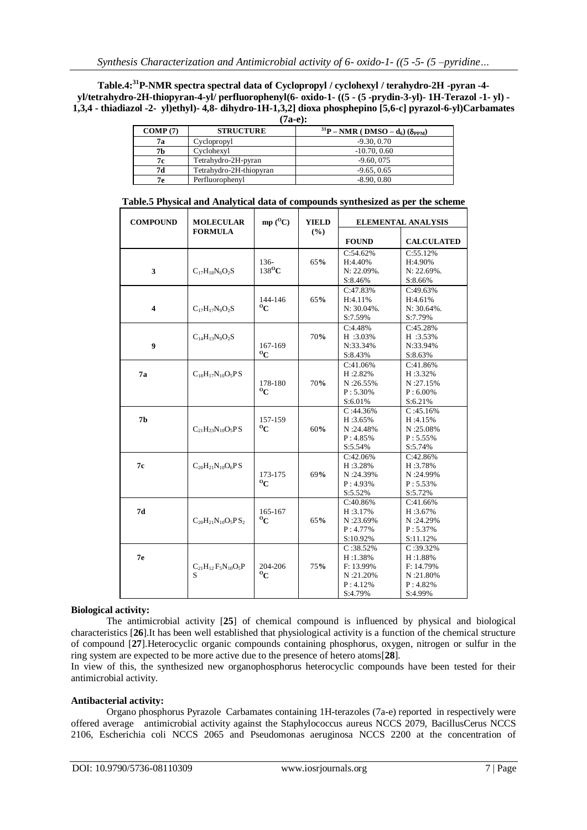**Table.4:<sup>31</sup>P-NMR spectra spectral data of Cyclopropyl / cyclohexyl / terahydro-2H -pyran -4 yl/tetrahydro-2H-thiopyran-4-yl/ perfluorophenyl(6- oxido-1- ((5 - (5 -prydin-3-yl)- 1H-Terazol -1- yl) - 1,3,4 - thiadiazol -2- yl)ethyl)- 4,8- dihydro-1H-1,3,2] dioxa phosphepino [5,6-c] pyrazol-6-yl)Carbamates** 

**(7a-e):**

| COMP(7) | <b>STRUCTURE</b>        | $31P - NMR$ (DMSO – d <sub>6</sub> ) ( $\delta_{PPM}$ ) |
|---------|-------------------------|---------------------------------------------------------|
| 7а      | Cyclopropyl             | $-9.30, 0.70$                                           |
| 7b      | Cyclohexyl              | $-10.70, 0.60$                                          |
| 7с      | Tetrahydro-2H-pyran     | $-9.60,075$                                             |
| 7d      | Tetrahydro-2H-thiopyran | $-9.65, 0.65$                                           |
| 7е      | Perfluorophenyl         | $-8.90, 0.80$                                           |

|  |  |  | Table.5 Physical and Analytical data of compounds synthesized as per the scheme |  |
|--|--|--|---------------------------------------------------------------------------------|--|
|--|--|--|---------------------------------------------------------------------------------|--|

| <b>COMPOUND</b> | <b>MOLECULAR</b>                 | $mp ({}^{0}C)$<br><b>YIELD</b> |     |                                                                     | <b>ELEMENTAL ANALYSIS</b>                                           |  |
|-----------------|----------------------------------|--------------------------------|-----|---------------------------------------------------------------------|---------------------------------------------------------------------|--|
|                 | <b>FORMULA</b>                   |                                | (%) | <b>FOUND</b>                                                        | <b>CALCULATED</b>                                                   |  |
| 3               | $C_{17}H_{18}N_6O_2S$            | $136 -$<br>$138^{\circ}$ C     | 65% | C:54.62%<br>H:4.40%<br>$N: 22.09\%$ .<br>S:8.46%                    | C:55.12%<br>H:4.90%<br>N: 22.69%.<br>S:8.66%                        |  |
| 4               | $C_{17}H_{17}N_9O_2S$            | 144-146<br>${}^oC$             | 65% | C:47.83%<br>$H:4.11\%$<br>N: 30.04%.<br>S:7.59%                     | $C:49.63\%$<br>H:4.61%<br>N: 30.64%.<br>S:7.79%                     |  |
| 9               | $C_{14}H_{13}N_9O_2S$            | 167-169<br>$^{0}C$             | 70% | C:4.48%<br>$H : 3.03\%$<br>N:33.34%<br>S:8.43%                      | C:45.28%<br>$H:3.53\%$<br>N:33.94%<br>S:8.63%                       |  |
| 7а              | $C_{18}H_{17}N_{10}O_5PS$        | 178-180<br>$^{0}C$             | 70% | C:41.06%<br>H:2.82%<br>N:26.55%<br>$P: 5.30\%$<br>S:6.01%           | C:41.86%<br>H:3.32%<br>N:27.15%<br>$P: 6.00\%$<br>S:6.21%           |  |
| 7 <sub>b</sub>  | $C_{21}H_{23}N_{10}O_5PS$        | 157-159<br>$\mathbf{O}_C$      | 60% | C:44.36%<br>H:3.65%<br>N:24.48%<br>P: 4.85%<br>S:5.54%              | C:45.16%<br>H:4.15%<br>N:25.08%<br>P: 5.55%<br>S:5.74%              |  |
| 7с              | $C_{20}H_{21}N_{10}O_6PS$        | 173-175<br>$^{0}C$             | 69% | C:42.06%<br>H:3.28%<br>N:24.39%<br>$P: 4.93\%$<br>$S:5.52\%$        | C:42.86%<br>H:3.78%<br>N:24.99%<br>P: 5.53%<br>S:5.72%              |  |
| 7d              | $C_{20}H_{21}N_{10}O_5PS_2$      | 165-167<br>$^{0}C$             | 65% | C:40.86%<br>H:3.17%<br>N:23.69%<br>$P: 4.77\%$<br>$S:10.92\%$       | C:41.66%<br>H:3.67%<br>N:24.29%<br>$P: 5.37\%$<br>S:11.12%          |  |
| 7 <sub>e</sub>  | $C_{21}H_{12}F_5N_{10}O_5P$<br>S | 204-206<br>$^{0}C$             | 75% | C:38.52%<br>H:1.38%<br>F: 13.99%<br>N:21.20%<br>P: 4.12%<br>S:4.79% | C:39.32%<br>H:1.88%<br>F: 14.79%<br>N:21.80%<br>P: 4.82%<br>S:4.99% |  |

## **Biological activity:**

The antimicrobial activity [**25**] of chemical compound is influenced by physical and biological characteristics [**26**].It has been well established that physiological activity is a function of the chemical structure of compound [**27**].Heterocyclic organic compounds containing phosphorus, oxygen, nitrogen or sulfur in the ring system are expected to be more active due to the presence of hetero atoms[**28**].

In view of this, the synthesized new organophosphorus heterocyclic compounds have been tested for their antimicrobial activity.

#### **Antibacterial activity:**

Organo phosphorus Pyrazole Carbamates containing 1H-terazoles (7a-e) reported in respectively were offered average antimicrobial activity against the Staphylococcus aureus NCCS 2079, BacillusCerus NCCS 2106, Escherichia coli NCCS 2065 and Pseudomonas aeruginosa NCCS 2200 at the concentration of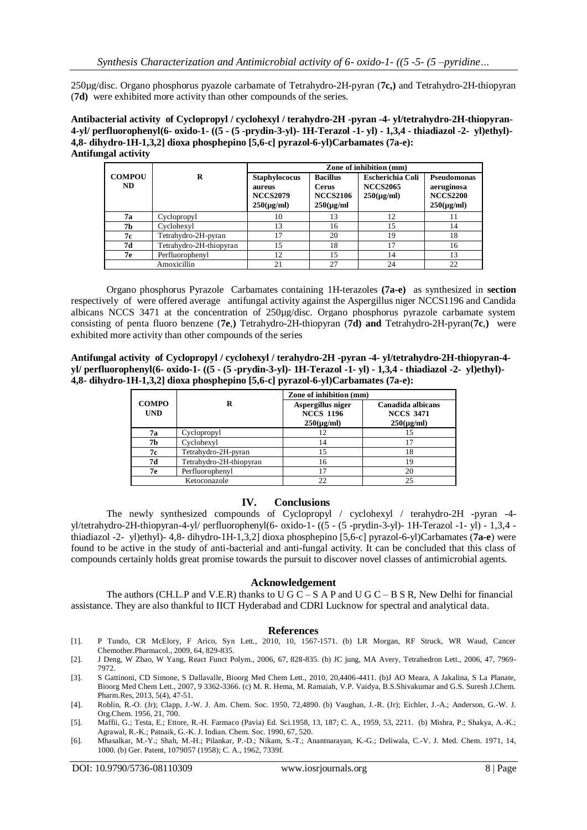250µg/disc. Organo phosphorus pyazole carbamate of Tetrahydro-2H-pyran (**7c,)** and Tetrahydro-2H-thiopyran (**7d)** were exhibited more activity than other compounds of the series.

**Antibacterial activity of Cyclopropyl / cyclohexyl / terahydro-2H -pyran -4- yl/tetrahydro-2H-thiopyran-4-yl/ perfluorophenyl(6- oxido-1- ((5 - (5 -prydin-3-yl)- 1H-Terazol -1- yl) - 1,3,4 - thiadiazol -2- yl)ethyl)- 4,8- dihydro-1H-1,3,2] dioxa phosphepino [5,6-c] pyrazol-6-yl)Carbamates (7a-e): Antifungal activity**

|                            |                         | Zone of inhibition (mm)                                              |                                                                       |                                                               |                                                                        |  |
|----------------------------|-------------------------|----------------------------------------------------------------------|-----------------------------------------------------------------------|---------------------------------------------------------------|------------------------------------------------------------------------|--|
| <b>COMPOU</b><br><b>ND</b> | R                       | <b>Staphylococus</b><br>aureus<br><b>NCCS2079</b><br>$250(\mu g/ml)$ | <b>Bacillus</b><br><b>Cerus</b><br><b>NCCS2106</b><br>$250(\mu g/ml)$ | <b>Escherichia Coli</b><br><b>NCCS2065</b><br>$250(\mu g/ml)$ | <b>Pseudomonas</b><br>aeruginosa<br><b>NCCS2200</b><br>$250(\mu g/ml)$ |  |
| 7a                         | Cyclopropyl             | 10                                                                   | 13                                                                    | 12                                                            |                                                                        |  |
| 7Ь                         | Cyclohexyl              | 13                                                                   | 16                                                                    | 15                                                            | 14                                                                     |  |
| 7с                         | Tetrahydro-2H-pyran     |                                                                      | 20                                                                    | 19                                                            | 18                                                                     |  |
| 7d                         | Tetrahydro-2H-thiopyran | 15                                                                   | 18                                                                    | 17                                                            | 16                                                                     |  |
| 7е                         | Perfluorophenyl         | 12                                                                   | 15                                                                    | 14                                                            | 13                                                                     |  |
|                            | Amoxicillin             | 21                                                                   | 27                                                                    | 24                                                            | 22                                                                     |  |

Organo phosphorus Pyrazole Carbamates containing 1H-terazoles **(7a-e)** as synthesized in **section**  respectively ofwere offered average antifungal activity against the Aspergillus niger NCCS1196 and Candida albicans NCCS 3471 at the concentration of 250µg/disc. Organo phosphorus pyrazole carbamate system consisting of penta fluoro benzene (**7e**,**)** Tetrahydro-2H-thiopyran (**7d) and** Tetrahydro-2H-pyran(**7c**,**)** were exhibited more activity than other compounds of the series

**Antifungal activity of Cyclopropyl / cyclohexyl / terahydro-2H -pyran -4- yl/tetrahydro-2H-thiopyran-4 yl/ perfluorophenyl(6- oxido-1- ((5 - (5 -prydin-3-yl)- 1H-Terazol -1- yl) - 1,3,4 - thiadiazol -2- yl)ethyl)- 4,8- dihydro-1H-1,3,2] dioxa phosphepino [5,6-c] pyrazol-6-yl)Carbamates (7a-e):**

|                            |                         | Zone of inhibition (mm)                                  |                                                          |  |  |
|----------------------------|-------------------------|----------------------------------------------------------|----------------------------------------------------------|--|--|
| <b>COMPO</b><br><b>UND</b> | R                       | Aspergillus niger<br><b>NCCS 1196</b><br>$250(\mu g/ml)$ | Canadida albicans<br><b>NCCS 3471</b><br>$250(\mu g/ml)$ |  |  |
| 7а                         | Cyclopropyl             | 12                                                       | 15                                                       |  |  |
| 7b                         | Cyclohexyl              | 14                                                       | 17                                                       |  |  |
| 7с                         | Tetrahydro-2H-pyran     | l 5                                                      | 18                                                       |  |  |
| 7d                         | Tetrahydro-2H-thiopyran | 16                                                       | 19                                                       |  |  |
| Perfluorophenyl<br>7е      |                         | ۱7                                                       | 20                                                       |  |  |
| Ketoconazole               |                         | 22                                                       | 25                                                       |  |  |

## **IV. Conclusions**

The newly synthesized compounds of Cyclopropyl / cyclohexyl / terahydro-2H -pyran -4 yl/tetrahydro-2H-thiopyran-4-yl/ perfluorophenyl(6- oxido-1- ((5 - (5 -prydin-3-yl)- 1H-Terazol -1- yl) - 1,3,4 thiadiazol -2- yl)ethyl)- 4,8- dihydro-1H-1,3,2] dioxa phosphepino [5,6-c] pyrazol-6-yl)Carbamates (**7a-e**) were found to be active in the study of anti-bacterial and anti-fungal activity. It can be concluded that this class of compounds certainly holds great promise towards the pursuit to discover novel classes of antimicrobial agents.

#### **Acknowledgement**

The authors (CH.L.P and V.E.R) thanks to U G C – S A P and U G C – B S R, New Delhi for financial assistance. They are also thankful to IICT Hyderabad and CDRI Lucknow for spectral and analytical data.

#### **References**

- [1]. P Tundo, CR McElory, F Arico, Syn Lett., 2010, 10, 1567-1571. (b) LR Morgan, RF Struck, WR Waud, Cancer Chemother.Pharmacol., 2009, 64, 829-835.
- [2]. J Deng, W Zhao, W Yang, React Funct Polym., 2006, 67, 828-835. (b) JC jung, MA Avery, Tetrahedron Lett., 2006, 47, 7969- 7072
- [3]. S Gattinoni, CD Simone, S Dallavalle, Bioorg Med Chem Lett., 2010, 20,4406-4411. (b)J AO Meara, A Jakalina, S La Planate, Bioorg Med Chem Lett., 2007, 9 3362-3366. (c) M. R. Hema, M. Ramaiah, V.P. Vaidya, B.S.Shivakumar and G.S. Suresh J.Chem. Pharm.Res, 2013, 5(4), 47-51.
- [4]. Roblin, R.-O. (Jr); Clapp, J.-W. J. Am. Chem. Soc. 1950, 72,4890. (b) Vaughan, J.-R. (Jr); Eichler, J.-A.; Anderson, G.-W. J. Org.Chem. 1956, 21, 700.
- [5]. Maffii, G.; Testa, E.; Ettore, R.-H. Farmaco (Pavia) Ed. Sci.1958, 13, 187; C. A., 1959, 53, 2211. (b) Mishra, P.; Shakya, A.-K.; Agrawal, R.-K.; Patnaik, G.-K. J. Indian. Chem. Soc. 1990, 67, 520.
- [6]. Mhasalkar, M.-Y.; Shah, M.-H.; Pilankar, P.-D.; Nikam, S.-T.; Anantnarayan, K.-G.; Deliwala, C.-V. J. Med. Chem. 1971, 14, 1000. (b) Ger. Patent, 1079057 (1958); C. A., 1962, 7339f.